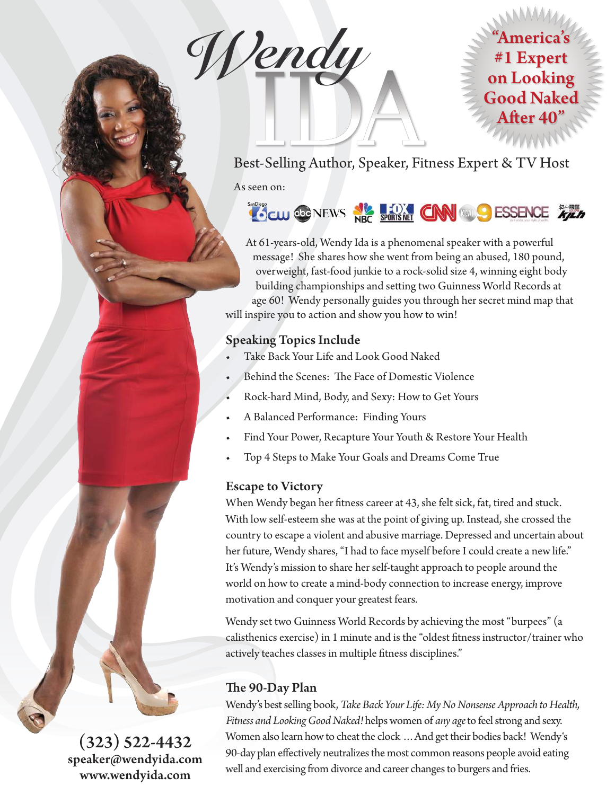**Wendy**



Best-Selling Author, Speaker, Fitness Expert & TV Host

As seen on:

# CO CONEWS NEC SPORTS NET CAN WAS ESSENCE TO THE

At 61-years-old, Wendy Ida is a phenomenal speaker with a powerful message! She shares how she went from being an abused, 180 pound, overweight, fast-food junkie to a rock-solid size 4, winning eight body building championships and setting two Guinness World Records at age 60! Wendy personally guides you through her secret mind map that will inspire you to action and show you how to win!

#### **Speaking Topics Include**

- Take Back Your Life and Look Good Naked
- Behind the Scenes: The Face of Domestic Violence
- Rock-hard Mind, Body, and Sexy: How to Get Yours
- A Balanced Performance: Finding Yours
- Find Your Power, Recapture Your Youth & Restore Your Health
- Top 4 Steps to Make Your Goals and Dreams Come True

#### **Escape to Victory**

When Wendy began her fitness career at 43, she felt sick, fat, tired and stuck. With low self-esteem she was at the point of giving up. Instead, she crossed the country to escape a violent and abusive marriage. Depressed and uncertain about her future, Wendy shares, "I had to face myself before I could create a new life." It's Wendy's mission to share her self-taught approach to people around the world on how to create a mind-body connection to increase energy, improve motivation and conquer your greatest fears.

Wendy set two Guinness World Records by achieving the most "burpees" (a calisthenics exercise) in 1 minute and is the "oldest fitness instructor/trainer who actively teaches classes in multiple fitness disciplines."

#### **The 90-Day Plan**

Wendy's best selling book, *Take Back Your Life: My No Nonsense Approach to Health, Fitness and Looking Good Naked!* helps women of *any age* to feel strong and sexy. Women also learn how to cheat the clock …And get their bodies back! Wendy's 90-day plan effectively neutralizes the most common reasons people avoid eating well and exercising from divorce and career changes to burgers and fries.

**(323) 522-4432 speaker@wendyida.com www.wendyida.com**